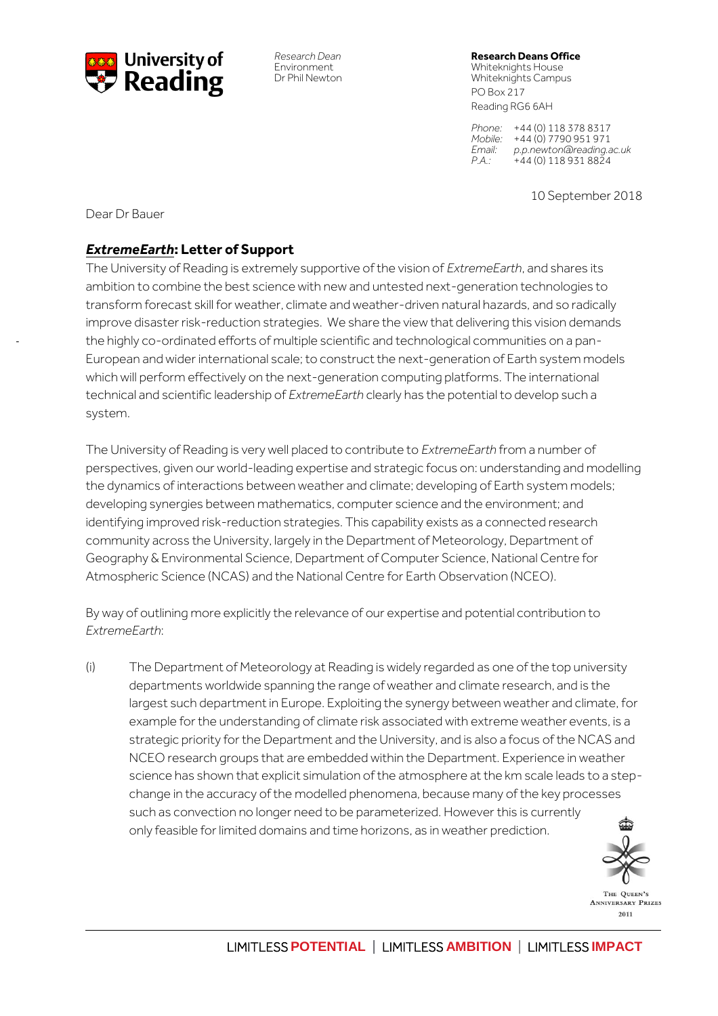

*Research Dean* **Research Deans Office**

Environment Whiteknights House Whiteknights Campus PO Box 217 Reading RG6 6AH

> *Phone:* +44 (0) 118 378 8317 *Mobile:* +44 (0) 7790 951 971 *Email: p.p.newton@reading.ac.uk P.A.:* +44 (0) 118 931 8824

> > 10 September 2018

Dear Dr Bauer

-

## *ExtremeEarth***: Letter of Support**

The University of Reading is extremely supportive of the vision of *ExtremeEarth*, and shares its ambition to combine the best science with new and untested next-generation technologies to transform forecast skill for weather, climate and weather-driven natural hazards, and so radically improve disaster risk-reduction strategies. We share the view that delivering this vision demands the highly co-ordinated efforts of multiple scientific and technological communities on a pan-European and wider international scale; to construct the next-generation of Earth system models which will perform effectively on the next-generation computing platforms. The international technical and scientific leadership of *ExtremeEarth* clearly has the potential to develop such a system.

The University of Reading is very well placed to contribute to *ExtremeEarth* from a number of perspectives, given our world-leading expertise and strategic focus on: understanding and modelling the dynamics of interactions between weather and climate; developing of Earth system models; developing synergies between mathematics, computer science and the environment; and identifying improved risk-reduction strategies. This capability exists as a connected research community across the University, largely in the Department of Meteorology, Department of Geography & Environmental Science, Department of Computer Science, National Centre for Atmospheric Science (NCAS) and the National Centre for Earth Observation (NCEO).

By way of outlining more explicitly the relevance of our expertise and potential contribution to *ExtremeEarth*:

(i) The Department of Meteorology at Reading is widely regarded as one of the top university departments worldwide spanning the range of weather and climate research, and is the largest such department in Europe. Exploiting the synergy between weather and climate, for example for the understanding of climate risk associated with extreme weather events, is a strategic priority for the Department and the University, and is also a focus of the NCAS and NCEO research groups that are embedded within the Department. Experience in weather science has shown that explicit simulation of the atmosphere at the km scale leads to a stepchange in the accuracy of the modelled phenomena, because many of the key processes such as convection no longer need to be parameterized. However this is currently only feasible for limited domains and time horizons, as in weather prediction.



 $\overline{a}$